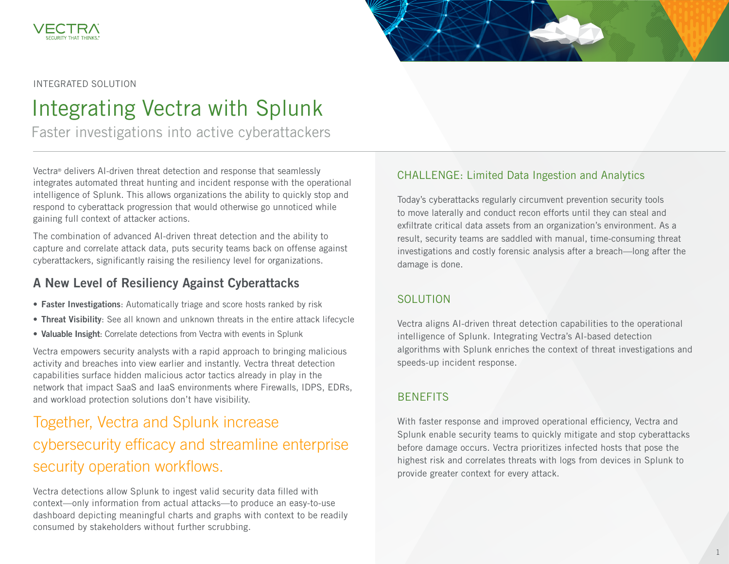



#### INTEGRATED SOLUTION

# Integrating Vectra with Splunk

Faster investigations into active cyberattackers

Vectra® delivers AI-driven threat detection and response that seamlessly integrates automated threat hunting and incident response with the operational intelligence of Splunk. This allows organizations the ability to quickly stop and respond to cyberattack progression that would otherwise go unnoticed while gaining full context of attacker actions.

The combination of advanced AI-driven threat detection and the ability to capture and correlate attack data, puts security teams back on offense against cyberattackers, significantly raising the resiliency level for organizations.

### A New Level of Resiliency Against Cyberattacks

- Faster Investigations: Automatically triage and score hosts ranked by risk
- Threat Visibility: See all known and unknown threats in the entire attack lifecycle
- Valuable Insight: Correlate detections from Vectra with events in Splunk

Vectra empowers security analysts with a rapid approach to bringing malicious activity and breaches into view earlier and instantly. Vectra threat detection capabilities surface hidden malicious actor tactics already in play in the network that impact SaaS and IaaS environments where Firewalls, IDPS, EDRs, and workload protection solutions don't have visibility.

## Together, Vectra and Splunk increase cybersecurity efficacy and streamline enterprise security operation workflows.

Vectra detections allow Splunk to ingest valid security data filled with context—only information from actual attacks—to produce an easy-to-use dashboard depicting meaningful charts and graphs with context to be readily consumed by stakeholders without further scrubbing.

#### CHALLENGE: Limited Data Ingestion and Analytics

Today's cyberattacks regularly circumvent prevention security tools to move laterally and conduct recon efforts until they can steal and exfiltrate critical data assets from an organization's environment. As a result, security teams are saddled with manual, time-consuming threat investigations and costly forensic analysis after a breach—long after the damage is done.

#### SOLUTION

Vectra aligns AI-driven threat detection capabilities to the operational intelligence of Splunk. Integrating Vectra's AI-based detection algorithms with Splunk enriches the context of threat investigations and speeds-up incident response.

#### BENEFITS

With faster response and improved operational efficiency, Vectra and Splunk enable security teams to quickly mitigate and stop cyberattacks before damage occurs. Vectra prioritizes infected hosts that pose the highest risk and correlates threats with logs from devices in Splunk to provide greater context for every attack.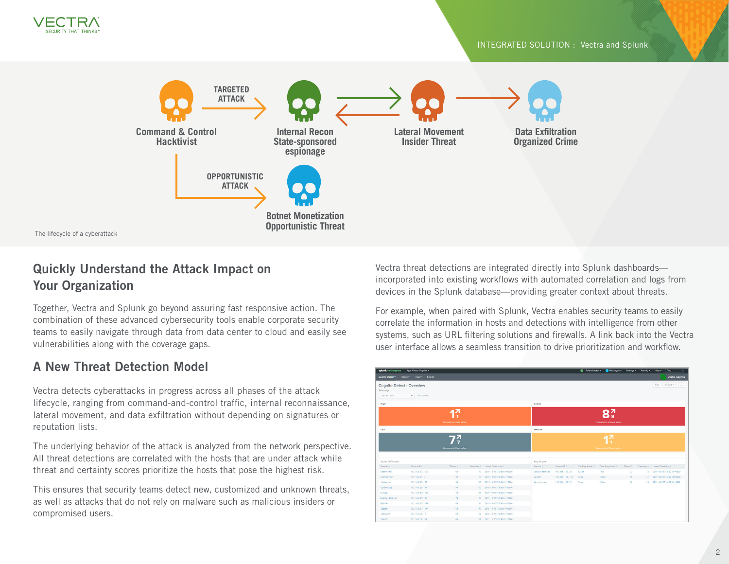



The lifecycle of a cyberattack

### Quickly Understand the Attack Impact on Your Organization

Together, Vectra and Splunk go beyond assuring fast responsive action. The combination of these advanced cybersecurity tools enable corporate security teams to easily navigate through data from data center to cloud and easily see vulnerabilities along with the coverage gaps.

### A New Threat Detection Model

Vectra detects cyberattacks in progress across all phases of the attack lifecycle, ranging from command-and-control traffic, internal reconnaissance, lateral movement, and data exfiltration without depending on signatures or reputation lists.

The underlying behavior of the attack is analyzed from the network perspective. All threat detections are correlated with the hosts that are under attack while threat and certainty scores prioritize the hosts that pose the highest risk.

This ensures that security teams detect new, customized and unknown threats, as well as attacks that do not rely on malware such as malicious insiders or compromised users.

Vectra threat detections are integrated directly into Splunk dashboards incorporated into existing workflows with automated correlation and logs from devices in the Splunk database—providing greater context about threats.

For example, when paired with Splunk, Vectra enables security teams to easily correlate the information in hosts and detections with intelligence from other systems, such as URL filtering solutions and firewalls. A link back into the Vectra user interface allows a seamless transition to drive prioritization and workflow.

| solunk>enterprise                               | App: Vectra Cognito =                       |                 |  |                                |                                   |                                   | Administrator . | Messages . Settings . Activity . |          |  | Find<br>Help +                 |  |
|-------------------------------------------------|---------------------------------------------|-----------------|--|--------------------------------|-----------------------------------|-----------------------------------|-----------------|----------------------------------|----------|--|--------------------------------|--|
| Cognito Detect .                                | Health Audit Search                         |                 |  |                                |                                   |                                   |                 |                                  |          |  | <b>Vectra Cognito</b>          |  |
| Timerange:<br>Last 24 hours                     | Cognito Detect - Overview<br>v Hide Filters |                 |  |                                |                                   |                                   |                 |                                  |          |  | <b>Bolt</b><br>Export *        |  |
| High                                            |                                             |                 |  |                                | Critical                          |                                   |                 |                                  |          |  |                                |  |
| 7<br>Compared to 1 hour before                  |                                             |                 |  |                                | o۸<br>Compared to 24 hours before |                                   |                 |                                  |          |  |                                |  |
| Low                                             |                                             |                 |  |                                |                                   | Medium                            |                 |                                  |          |  |                                |  |
|                                                 | $\frac{7}{7}$<br>Compared to 1 hour before  |                 |  |                                |                                   | 47<br>Compared to 24 hours before |                 |                                  |          |  |                                |  |
| Worst Offenders                                 |                                             |                 |  |                                | <b>Key Assets</b>                 |                                   |                 |                                  |          |  |                                |  |
| Source 0                                        | Source IP o                                 | Threat o        |  | Certainty 0 Latest Detection 0 | Source o                          | Source IP o                       | Src Key Asset 0 | Dest Key Asset 0                 | Threat o |  | Certainty 0 Latest Detection 0 |  |
| Robert-MBP                                      | 192.168.173.194                             | 99              |  | 77 2819-10-15T12:00:00+0000    | Deacon-desktop                    | 192.168.199.30                    | False           | True                             | 73       |  | 73 2019-10-15718:00:01+0000    |  |
| winfs06r3u17                                    | 192.168.11.5                                | 39              |  | 71 2019-10-15718:00:01-0000    | jacobb                            | 192.168.174.114                   | True            | False                            | 68       |  | 47 2019-10-15T15:00:00+0000    |  |
| fablen-pc                                       | 192.168.193.93                              | 33 <sup>°</sup> |  | 55 2019-10-15T18:00:01-0000    | leroy_brown                       | 192.168.153.17                    | True            | False                            | 41       |  | 24 2019-10-15718:00:01+0000    |  |
| cj-desktop                                      | 192.168.99.137                              | 99              |  | 52 2019-10-15T18:00:01+0000    |                                   |                                   |                 |                                  |          |  |                                |  |
| <b>DJComp</b>                                   | 192.168.152.194                             | 79              |  | 99 2019-10-15T18:00:01-0000    |                                   |                                   |                 |                                  |          |  |                                |  |
|                                                 |                                             |                 |  | 73 2019-10-15718:00:01-0000    |                                   |                                   |                 |                                  |          |  |                                |  |
|                                                 | 152.168.199.30                              | 73.             |  |                                |                                   |                                   |                 |                                  |          |  |                                |  |
|                                                 | 192.168.192.194                             | 49.             |  | 31 2019-10-15T15:00:00-0000    |                                   |                                   |                 |                                  |          |  |                                |  |
|                                                 | 192.168.174.114                             | 68              |  | 47 2019-10-15T15:00:00+0000    |                                   |                                   |                 |                                  |          |  |                                |  |
| Deacon-desktop<br>00anner<br>jacobb<br>JacksonP | 192.168.50.17                               | 63              |  | 70 2819-10-15718:00:01+0000    |                                   |                                   |                 |                                  |          |  |                                |  |